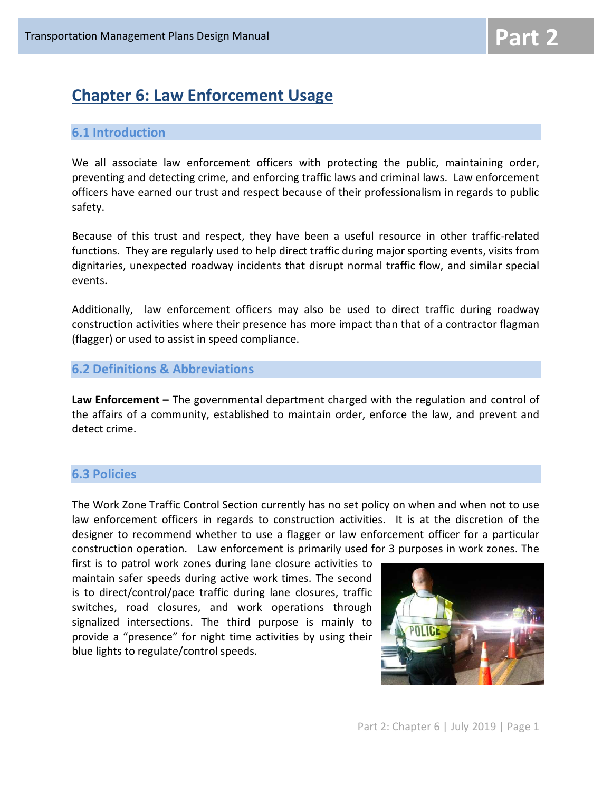# Chapter 6: Law Enforcement Usage

## 6.1 Introduction

We all associate law enforcement officers with protecting the public, maintaining order, preventing and detecting crime, and enforcing traffic laws and criminal laws. Law enforcement officers have earned our trust and respect because of their professionalism in regards to public safety.

Because of this trust and respect, they have been a useful resource in other traffic-related functions. They are regularly used to help direct traffic during major sporting events, visits from dignitaries, unexpected roadway incidents that disrupt normal traffic flow, and similar special events.

Additionally, law enforcement officers may also be used to direct traffic during roadway construction activities where their presence has more impact than that of a contractor flagman (flagger) or used to assist in speed compliance.

### 6.2 Definitions & Abbreviations

Law Enforcement – The governmental department charged with the regulation and control of the affairs of a community, established to maintain order, enforce the law, and prevent and detect crime.

# 6.3 Policies

The Work Zone Traffic Control Section currently has no set policy on when and when not to use law enforcement officers in regards to construction activities. It is at the discretion of the designer to recommend whether to use a flagger or law enforcement officer for a particular construction operation. Law enforcement is primarily used for 3 purposes in work zones. The

first is to patrol work zones during lane closure activities to maintain safer speeds during active work times. The second is to direct/control/pace traffic during lane closures, traffic switches, road closures, and work operations through signalized intersections. The third purpose is mainly to provide a "presence" for night time activities by using their blue lights to regulate/control speeds.

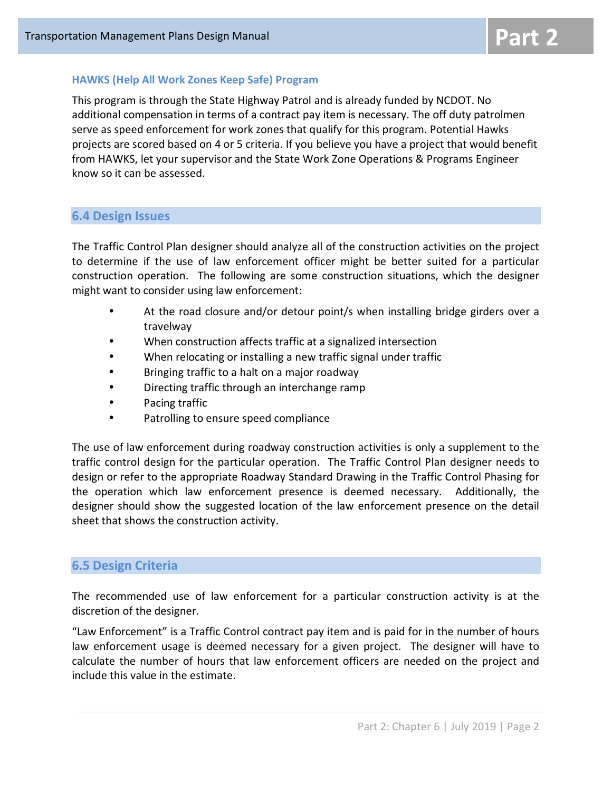#### HAWKS (Help All Work Zones Keep Safe) Program

This program is through the State Highway Patrol and is already funded by NCDOT. No additional compensation in terms of a contract pay item is necessary. The off duty patrolmen serve as speed enforcement for work zones that qualify for this program. Potential Hawks projects are scored based on 4 or 5 criteria. If you believe you have a project that would benefit from HAWKS, let your supervisor and the State Work Zone Operations & Programs Engineer know so it can be assessed.

#### 6.4 Design Issues

The Traffic Control Plan designer should analyze all of the construction activities on the project to determine if the use of law enforcement officer might be better suited for a particular construction operation. The following are some construction situations, which the designer might want to consider using law enforcement:

- At the road closure and/or detour point/s when installing bridge girders over a travelway
- When construction affects traffic at a signalized intersection
- When relocating or installing a new traffic signal under traffic
- Bringing traffic to a halt on a major roadway
- Directing traffic through an interchange ramp
- Pacing traffic
- Patrolling to ensure speed compliance

The use of law enforcement during roadway construction activities is only a supplement to the traffic control design for the particular operation. The Traffic Control Plan designer needs to design or refer to the appropriate Roadway Standard Drawing in the Traffic Control Phasing for the operation which law enforcement presence is deemed necessary. Additionally, the designer should show the suggested location of the law enforcement presence on the detail sheet that shows the construction activity.

#### 6.5 Design Criteria

The recommended use of law enforcement for a particular construction activity is at the discretion of the designer.

"Law Enforcement" is a Traffic Control contract pay item and is paid for in the number of hours law enforcement usage is deemed necessary for a given project. The designer will have to calculate the number of hours that law enforcement officers are needed on the project and include this value in the estimate.